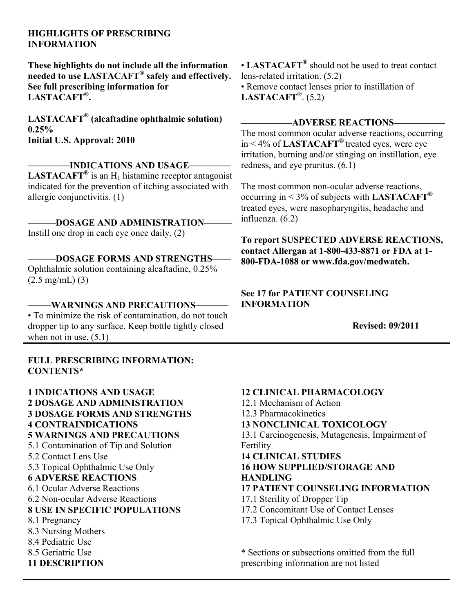#### **HIGHLIGHTS OF PRESCRIBING INFORMATION**

**These highlights do not include all the information needed to use LASTACAFT® safely and effectively. See full prescribing information for LASTACAFT® .**

**LASTACAFT® (alcaftadine ophthalmic solution) 0.25% Initial U.S. Approval: 2010**

**\_\_\_\_\_\_\_\_\_INDICATIONS AND USAGE\_\_\_\_\_\_\_\_\_ LASTACAFT**<sup>®</sup> is an  $H_1$  histamine receptor antagonist indicated for the prevention of itching associated with allergic conjunctivitis. (1)

**\_\_\_\_\_\_DOSAGE AND ADMINISTRATION\_\_\_\_\_\_** Instill one drop in each eye once daily. (2)

**\_\_\_\_\_\_DOSAGE FORMS AND STRENGTHS\_\_\_\_** Ophthalmic solution containing alcaftadine, 0.25% (2.5 mg/mL) (3)

**\_\_\_\_\_WARNINGS AND PRECAUTIONS\_\_\_\_\_\_\_** • To minimize the risk of contamination, do not touch dropper tip to any surface. Keep bottle tightly closed when not in use. (5.1)

**FULL PRESCRIBING INFORMATION: CONTENTS\***

**1 INDICATIONS AND USAGE 2 DOSAGE AND ADMINISTRATION 3 DOSAGE FORMS AND STRENGTHS 4 CONTRAINDICATIONS 5 WARNINGS AND PRECAUTIONS** 5.1 Contamination of Tip and Solution 5.2 Contact Lens Use 5.3 Topical Ophthalmic Use Only **6 ADVERSE REACTIONS** 6.1 Ocular Adverse Reactions 6.2 Non-ocular Adverse Reactions **8 USE IN SPECIFIC POPULATIONS** 8.1 Pregnancy 8.3 Nursing Mothers 8.4 Pediatric Use 8.5 Geriatric Use **11 DESCRIPTION**

• **LASTACAFT®** should not be used to treat contact lens-related irritation. (5.2) • Remove contact lenses prior to instillation of **LASTACAFT®** . (5.2)

#### **\_\_\_\_\_\_\_\_\_\_\_ADVERSE REACTIONS\_\_\_\_\_\_\_\_\_\_\_**

The most common ocular adverse reactions, occurring in < 4% of **LASTACAFT®** treated eyes, were eye irritation, burning and/or stinging on instillation, eye redness, and eye pruritus. (6.1)

The most common non-ocular adverse reactions, occurring in < 3% of subjects with **LASTACAFT®** treated eyes, were nasopharyngitis, headache and influenza. (6.2)

**To report SUSPECTED ADVERSE REACTIONS, contact Allergan at 1-800-433-8871 or FDA at 1- 800-FDA-1088 or www.fda.gov/medwatch.**

#### **See 17 for PATIENT COUNSELING INFORMATION**

**Revised: 09/2011**

**12 CLINICAL PHARMACOLOGY** 12.1 Mechanism of Action 12.3 Pharmacokinetics **13 NONCLINICAL TOXICOLOGY** 13.1 Carcinogenesis, Mutagenesis, Impairment of Fertility **14 CLINICAL STUDIES 16 HOW SUPPLIED/STORAGE AND HANDLING 17 PATIENT COUNSELING INFORMATION** 17.1 Sterility of Dropper Tip 17.2 Concomitant Use of Contact Lenses 17.3 Topical Ophthalmic Use Only \* Sections or subsections omitted from the full

prescribing information are not listed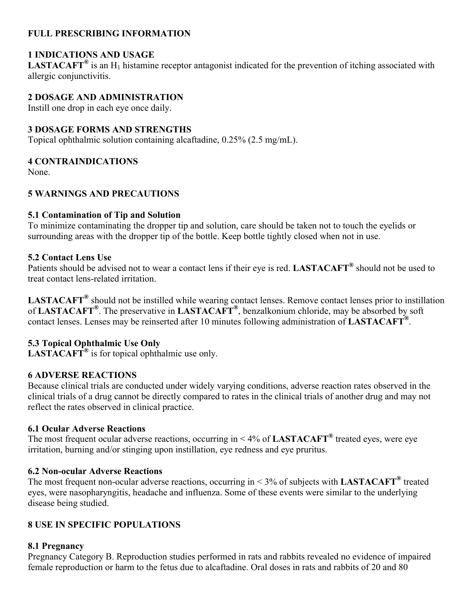### **FULL PRESCRIBING INFORMATION**

### **1 INDICATIONS AND USAGE**

LASTACAFT<sup>®</sup> is an H<sub>1</sub> histamine receptor antagonist indicated for the prevention of itching associated with allergic conjunctivitis.

#### **2 DOSAGE AND ADMINISTRATION**

Instill one drop in each eye once daily.

#### **3 DOSAGE FORMS AND STRENGTHS**

Topical ophthalmic solution containing alcaftadine, 0.25% (2.5 mg/mL).

#### **4 CONTRAINDICATIONS**

None.

### **5 WARNINGS AND PRECAUTIONS**

#### **5.1 Contamination of Tip and Solution**

To minimize contaminating the dropper tip and solution, care should be taken not to touch the eyelids or surrounding areas with the dropper tip of the bottle. Keep bottle tightly closed when not in use.

#### **5.2 Contact Lens Use**

Patients should be advised not to wear a contact lens if their eye is red. **LASTACAFT®** should not be used to treat contact lens-related irritation.

**LASTACAFT®** should not be instilled while wearing contact lenses. Remove contact lenses prior to instillation of **LASTACAFT®** . The preservative in **LASTACAFT®** , benzalkonium chloride, may be absorbed by soft contact lenses. Lenses may be reinserted after 10 minutes following administration of **LASTACAFT®** .

### **5.3 Topical Ophthalmic Use Only**

**LASTACAFT®** is for topical ophthalmic use only.

#### **6 ADVERSE REACTIONS**

Because clinical trials are conducted under widely varying conditions, adverse reaction rates observed in the clinical trials of a drug cannot be directly compared to rates in the clinical trials of another drug and may not reflect the rates observed in clinical practice.

#### **6.1 Ocular Adverse Reactions**

The most frequent ocular adverse reactions, occurring in < 4% of **LASTACAFT®** treated eyes, were eye irritation, burning and/or stinging upon instillation, eye redness and eye pruritus.

#### **6.2 Non-ocular Adverse Reactions**

The most frequent non-ocular adverse reactions, occurring in < 3% of subjects with **LASTACAFT®** treated eyes, were nasopharyngitis, headache and influenza. Some of these events were similar to the underlying disease being studied.

### **8 USE IN SPECIFIC POPULATIONS**

#### **8.1 Pregnancy**

Pregnancy Category B. Reproduction studies performed in rats and rabbits revealed no evidence of impaired female reproduction or harm to the fetus due to alcaftadine. Oral doses in rats and rabbits of 20 and 80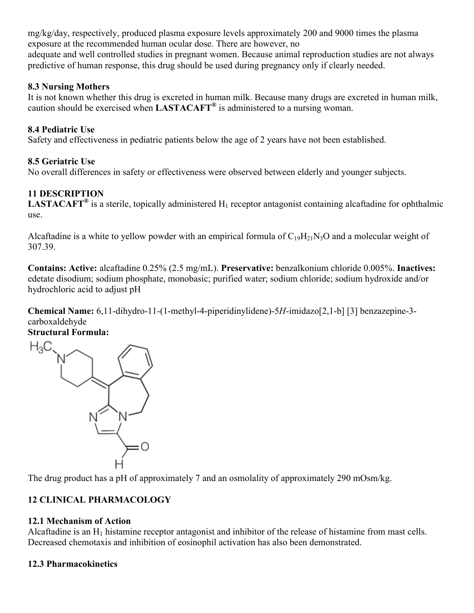mg/kg/day, respectively, produced plasma exposure levels approximately 200 and 9000 times the plasma exposure at the recommended human ocular dose. There are however, no adequate and well controlled studies in pregnant women. Because animal reproduction studies are not always predictive of human response, this drug should be used during pregnancy only if clearly needed.

### **8.3 Nursing Mothers**

It is not known whether this drug is excreted in human milk. Because many drugs are excreted in human milk, caution should be exercised when **LASTACAFT®** is administered to a nursing woman.

## **8.4 Pediatric Use**

Safety and effectiveness in pediatric patients below the age of 2 years have not been established.

## **8.5 Geriatric Use**

No overall differences in safety or effectiveness were observed between elderly and younger subjects.

## **11 DESCRIPTION**

**LASTACAFT<sup>®</sup>** is a sterile, topically administered H<sub>1</sub> receptor antagonist containing alcaftadine for ophthalmic use.

Alcaftadine is a white to yellow powder with an empirical formula of  $C_{19}H_{21}N_3O$  and a molecular weight of 307.39.

**Contains: Active:** alcaftadine 0.25% (2.5 mg/mL). **Preservative:** benzalkonium chloride 0.005%. **Inactives:**  edetate disodium; sodium phosphate, monobasic; purified water; sodium chloride; sodium hydroxide and/or hydrochloric acid to adjust pH

**Chemical Name:** 6,11-dihydro-11-(1-methyl-4-piperidinylidene)-5*H*-imidazo[2,1-b] [3] benzazepine-3 carboxaldehyde

**Structural Formula:**



The drug product has a pH of approximately 7 and an osmolality of approximately 290 mOsm/kg.

## **12 CLINICAL PHARMACOLOGY**

### **12.1 Mechanism of Action**

Alcaftadine is an  $H_1$  histamine receptor antagonist and inhibitor of the release of histamine from mast cells. Decreased chemotaxis and inhibition of eosinophil activation has also been demonstrated.

## **12.3 Pharmacokinetics**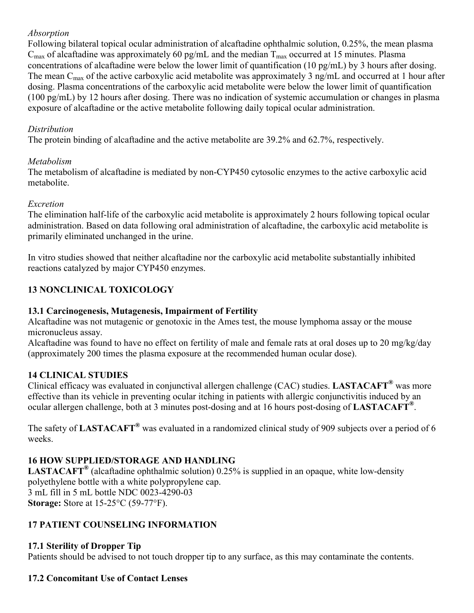### *Absorption*

Following bilateral topical ocular administration of alcaftadine ophthalmic solution, 0.25%, the mean plasma  $C_{\text{max}}$  of alcaftadine was approximately 60 pg/mL and the median  $T_{\text{max}}$  occurred at 15 minutes. Plasma concentrations of alcaftadine were below the lower limit of quantification (10 pg/mL) by 3 hours after dosing. The mean  $C_{\text{max}}$  of the active carboxylic acid metabolite was approximately 3 ng/mL and occurred at 1 hour after dosing. Plasma concentrations of the carboxylic acid metabolite were below the lower limit of quantification (100 pg/mL) by 12 hours after dosing. There was no indication of systemic accumulation or changes in plasma exposure of alcaftadine or the active metabolite following daily topical ocular administration.

### *Distribution*

The protein binding of alcaftadine and the active metabolite are 39.2% and 62.7%, respectively.

### *Metabolism*

The metabolism of alcaftadine is mediated by non-CYP450 cytosolic enzymes to the active carboxylic acid metabolite.

## *Excretion*

The elimination half-life of the carboxylic acid metabolite is approximately 2 hours following topical ocular administration. Based on data following oral administration of alcaftadine, the carboxylic acid metabolite is primarily eliminated unchanged in the urine.

In vitro studies showed that neither alcaftadine nor the carboxylic acid metabolite substantially inhibited reactions catalyzed by major CYP450 enzymes.

# **13 NONCLINICAL TOXICOLOGY**

## **13.1 Carcinogenesis, Mutagenesis, Impairment of Fertility**

Alcaftadine was not mutagenic or genotoxic in the Ames test, the mouse lymphoma assay or the mouse micronucleus assay.

Alcaftadine was found to have no effect on fertility of male and female rats at oral doses up to 20 mg/kg/day (approximately 200 times the plasma exposure at the recommended human ocular dose).

## **14 CLINICAL STUDIES**

Clinical efficacy was evaluated in conjunctival allergen challenge (CAC) studies. **LASTACAFT®** was more effective than its vehicle in preventing ocular itching in patients with allergic conjunctivitis induced by an ocular allergen challenge, both at 3 minutes post-dosing and at 16 hours post-dosing of **LASTACAFT®** .

The safety of **LASTACAFT®** was evaluated in a randomized clinical study of 909 subjects over a period of 6 weeks.

## **16 HOW SUPPLIED/STORAGE AND HANDLING**

**LASTACAFT®** (alcaftadine ophthalmic solution) 0.25% is supplied in an opaque, white low-density polyethylene bottle with a white polypropylene cap. 3 mL fill in 5 mL bottle NDC 0023-4290-03 **Storage:** Store at 15-25°C (59-77°F).

## **17 PATIENT COUNSELING INFORMATION**

## **17.1 Sterility of Dropper Tip**

Patients should be advised to not touch dropper tip to any surface, as this may contaminate the contents.

### **17.2 Concomitant Use of Contact Lenses**